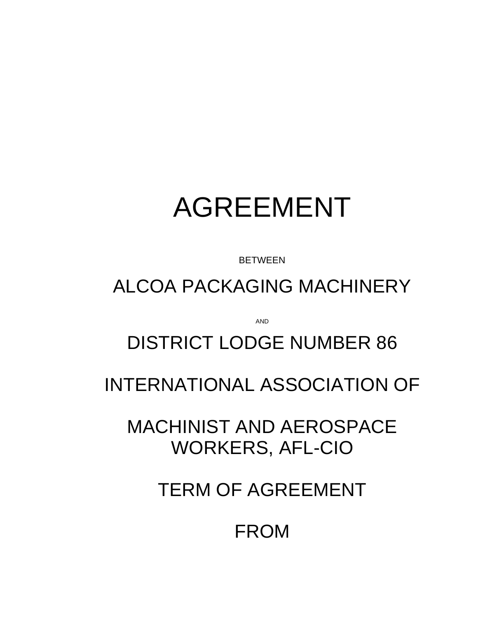# AGREEMENT

BETWEEN

ALCOA PACKAGING MACHINERY

AND

# DISTRICT LODGE NUMBER 86

INTERNATIONAL ASSOCIATION OF

MACHINIST AND AEROSPACE WORKERS, AFL-CIO

TERM OF AGREEMENT

FROM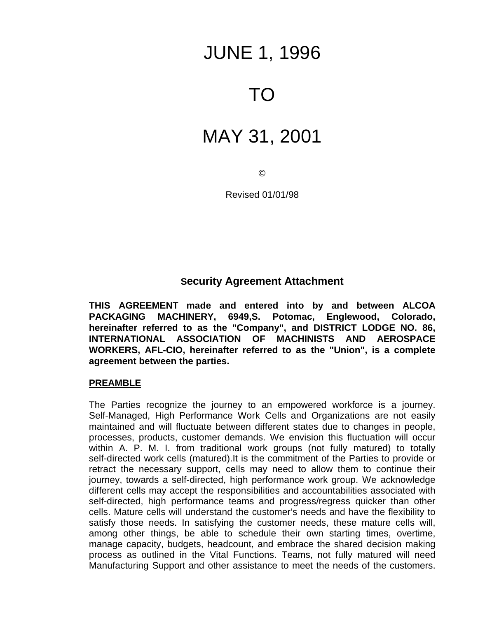# JUNE 1, 1996

# TO

# MAY 31, 2001

 $\odot$ 

Revised 01/01/98

#### **Security Agreement Attachment**

**THIS AGREEMENT made and entered into by and between ALCOA PACKAGING MACHINERY, 6949,S. Potomac, Englewood, Colorado, hereinafter referred to as the "Company", and DISTRICT LODGE NO. 86, INTERNATIONAL ASSOCIATION OF MACHINISTS AND AEROSPACE WORKERS, AFL-CIO, hereinafter referred to as the "Union", is a complete agreement between the parties.**

#### **PREAMBLE**

The Parties recognize the journey to an empowered workforce is a journey. Self-Managed, High Performance Work Cells and Organizations are not easily maintained and will fluctuate between different states due to changes in people, processes, products, customer demands. We envision this fluctuation will occur within A. P. M. I. from traditional work groups (not fully matured) to totally self-directed work cells (matured).It is the commitment of the Parties to provide or retract the necessary support, cells may need to allow them to continue their journey, towards a self-directed, high performance work group. We acknowledge different cells may accept the responsibilities and accountabilities associated with self-directed, high performance teams and progress/regress quicker than other cells. Mature cells will understand the customer's needs and have the flexibility to satisfy those needs. In satisfying the customer needs, these mature cells will, among other things, be able to schedule their own starting times, overtime, manage capacity, budgets, headcount, and embrace the shared decision making process as outlined in the Vital Functions. Teams, not fully matured will need Manufacturing Support and other assistance to meet the needs of the customers.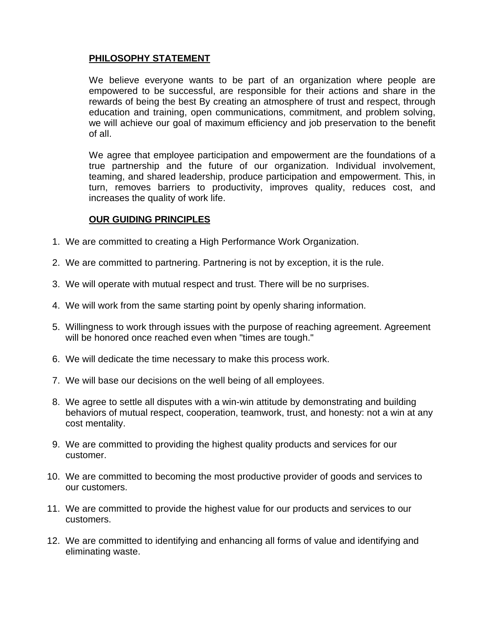#### **PHILOSOPHY STATEMENT**

We believe everyone wants to be part of an organization where people are empowered to be successful, are responsible for their actions and share in the rewards of being the best By creating an atmosphere of trust and respect, through education and training, open communications, commitment, and problem solving, we will achieve our goal of maximum efficiency and job preservation to the benefit of all.

We agree that employee participation and empowerment are the foundations of a true partnership and the future of our organization. Individual involvement, teaming, and shared leadership, produce participation and empowerment. This, in turn, removes barriers to productivity, improves quality, reduces cost, and increases the quality of work life.

#### **OUR GUIDING PRINCIPLES**

- 1. We are committed to creating a High Performance Work Organization.
- 2. We are committed to partnering. Partnering is not by exception, it is the rule.
- 3. We will operate with mutual respect and trust. There will be no surprises.
- 4. We will work from the same starting point by openly sharing information.
- 5. Willingness to work through issues with the purpose of reaching agreement. Agreement will be honored once reached even when "times are tough."
- 6. We will dedicate the time necessary to make this process work.
- 7. We will base our decisions on the well being of all employees.
- 8. We agree to settle all disputes with a win-win attitude by demonstrating and building behaviors of mutual respect, cooperation, teamwork, trust, and honesty: not a win at any cost mentality.
- 9. We are committed to providing the highest quality products and services for our customer.
- 10. We are committed to becoming the most productive provider of goods and services to our customers.
- 11. We are committed to provide the highest value for our products and services to our customers.
- 12. We are committed to identifying and enhancing all forms of value and identifying and eliminating waste.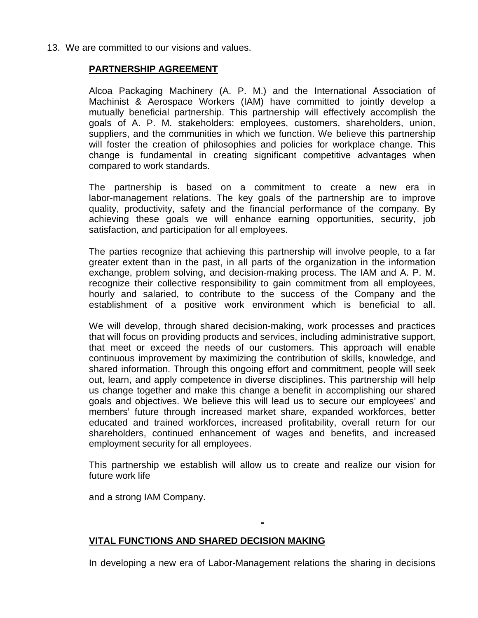13. We are committed to our visions and values.

#### **PARTNERSHIP AGREEMENT**

Alcoa Packaging Machinery (A. P. M.) and the International Association of Machinist & Aerospace Workers (IAM) have committed to jointly develop a mutually beneficial partnership. This partnership will effectively accomplish the goals of A. P. M. stakeholders: employees, customers, shareholders, union, suppliers, and the communities in which we function. We believe this partnership will foster the creation of philosophies and policies for workplace change. This change is fundamental in creating significant competitive advantages when compared to work standards.

The partnership is based on a commitment to create a new era in labor-management relations. The key goals of the partnership are to improve quality, productivity, safety and the financial performance of the company. By achieving these goals we will enhance earning opportunities, security, job satisfaction, and participation for all employees.

The parties recognize that achieving this partnership will involve people, to a far greater extent than in the past, in all parts of the organization in the information exchange, problem solving, and decision-making process. The IAM and A. P. M. recognize their collective responsibility to gain commitment from all employees, hourly and salaried, to contribute to the success of the Company and the establishment of a positive work environment which is beneficial to all.

We will develop, through shared decision-making, work processes and practices that will focus on providing products and services, including administrative support, that meet or exceed the needs of our customers. This approach will enable continuous improvement by maximizing the contribution of skills, knowledge, and shared information. Through this ongoing effort and commitment, people will seek out, learn, and apply competence in diverse disciplines. This partnership will help us change together and make this change a benefit in accomplishing our shared goals and objectives. We believe this will lead us to secure our employees' and members' future through increased market share, expanded workforces, better educated and trained workforces, increased profitability, overall return for our shareholders, continued enhancement of wages and benefits, and increased employment security for all employees.

This partnership we establish will allow us to create and realize our vision for future work life

and a strong IAM Company.

#### **VITAL FUNCTIONS AND SHARED DECISION MAKING**

In developing a new era of Labor-Management relations the sharing in decisions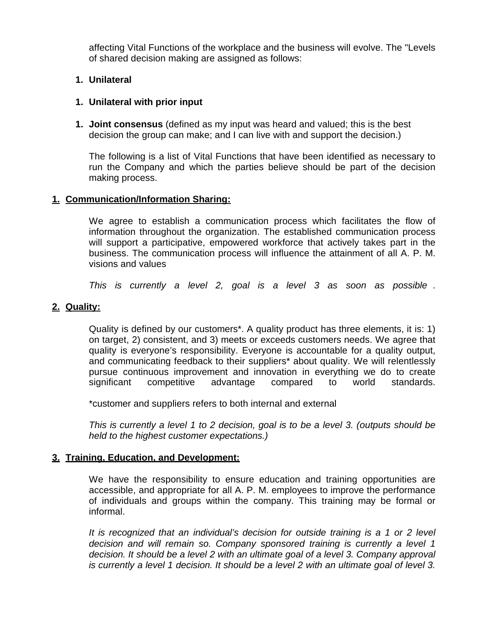affecting Vital Functions of the workplace and the business will evolve. The "Levels of shared decision making are assigned as follows:

#### **1. Unilateral**

#### **1. Unilateral with prior input**

**1. Joint consensus** (defined as my input was heard and valued; this is the best decision the group can make; and I can live with and support the decision.)

The following is a list of Vital Functions that have been identified as necessary to run the Company and which the parties believe should be part of the decision making process.

#### **1. Communication/Information Sharing:**

We agree to establish a communication process which facilitates the flow of information throughout the organization. The established communication process will support a participative, empowered workforce that actively takes part in the business. The communication process will influence the attainment of all A. P. M. visions and values

*This is currently a level 2, goal is a level 3 as soon as possible* .

#### **2. Quality:**

Quality is defined by our customers\*. A quality product has three elements, it is: 1) on target, 2) consistent, and 3) meets or exceeds customers needs. We agree that quality is everyone's responsibility. Everyone is accountable for a quality output, and communicating feedback to their suppliers\* about quality. We will relentlessly pursue continuous improvement and innovation in everything we do to create significant competitive advantage compared to world standards.

\*customer and suppliers refers to both internal and external

*This is currently a level 1 to 2 decision, goal is to be a level 3. (outputs should be held to the highest customer expectations.)*

#### **3. Training, Education, and Development:**

We have the responsibility to ensure education and training opportunities are accessible, and appropriate for all A. P. M. employees to improve the performance of individuals and groups within the company. This training may be formal or informal.

*It is recognized that an individual's decision for outside training is a 1 or 2 level decision and will remain so. Company sponsored training is currently a level 1 decision. It should be a level 2 with an ultimate goal of a level 3. Company approval is currently a level 1 decision. It should be a level 2 with an ultimate goal of level 3.*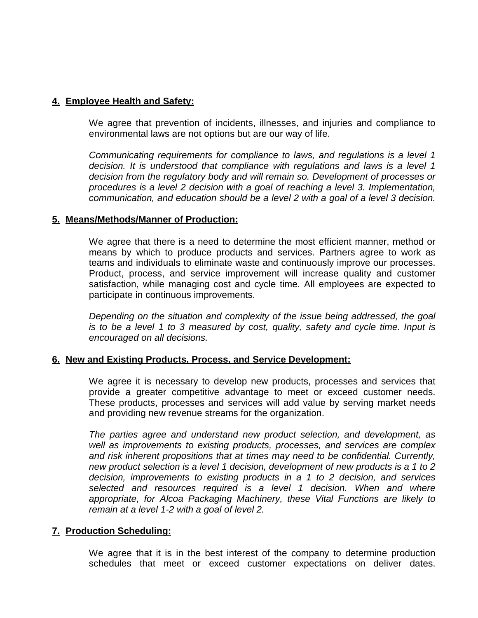#### **4. Employee Health and Safety:**

We agree that prevention of incidents, illnesses, and injuries and compliance to environmental laws are not options but are our way of life.

*Communicating requirements for compliance to laws, and regulations is a level 1 decision. It is understood that compliance with regulations and laws is a level 1 decision from the regulatory body and will remain so. Development of processes or procedures is a level 2 decision with a goal of reaching a level 3. Implementation, communication, and education should be a level 2 with a goal of a level 3 decision.*

#### **5. Means/Methods/Manner of Production:**

We agree that there is a need to determine the most efficient manner, method or means by which to produce products and services. Partners agree to work as teams and individuals to eliminate waste and continuously improve our processes. Product, process, and service improvement will increase quality and customer satisfaction, while managing cost and cycle time. All employees are expected to participate in continuous improvements.

*Depending on the situation and complexity of the issue being addressed, the goal is to be a level 1 to 3 measured by cost, quality, safety and cycle time. Input is encouraged on all decisions.*

#### **6. New and Existing Products, Process, and Service Development:**

We agree it is necessary to develop new products, processes and services that provide a greater competitive advantage to meet or exceed customer needs. These products, processes and services will add value by serving market needs and providing new revenue streams for the organization.

*The parties agree and understand new product selection, and development, as well as improvements to existing products, processes, and services are complex and risk inherent propositions that at times may need to be confidential. Currently, new product selection is a level 1 decision, development of new products is a 1 to 2 decision, improvements to existing products in a 1 to 2 decision, and services selected and resources required is a level 1 decision. When and where appropriate, for Alcoa Packaging Machinery, these Vital Functions are likely to remain at a level 1-2 with a goal of level 2.*

#### **7. Production Scheduling:**

We agree that it is in the best interest of the company to determine production schedules that meet or exceed customer expectations on deliver dates.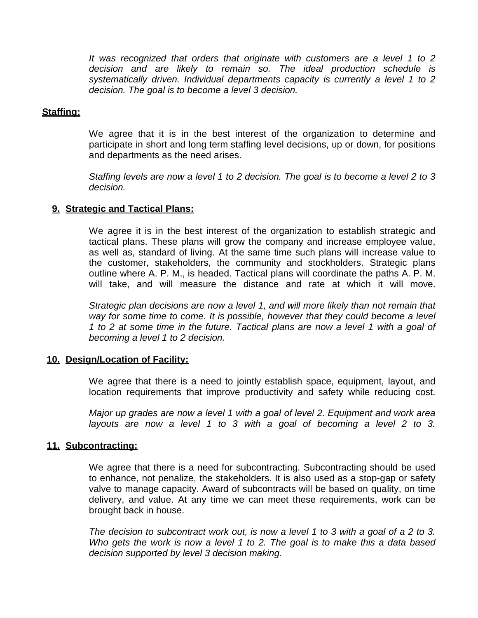*It was recognized that orders that originate with customers are a level 1 to 2 decision and are likely to remain so. The ideal production schedule is systematically driven. Individual departments capacity is currently a level 1 to 2 decision. The goal is to become a level 3 decision.*

#### **Staffing:**

We agree that it is in the best interest of the organization to determine and participate in short and long term staffing level decisions, up or down, for positions and departments as the need arises.

*Staffing levels are now a level 1 to 2 decision. The goal is to become a level 2 to 3 decision.*

#### **9. Strategic and Tactical Plans:**

We agree it is in the best interest of the organization to establish strategic and tactical plans. These plans will grow the company and increase employee value, as well as, standard of living. At the same time such plans will increase value to the customer, stakeholders, the community and stockholders. Strategic plans outline where A. P. M., is headed. Tactical plans will coordinate the paths A. P. M. will take, and will measure the distance and rate at which it will move.

*Strategic plan decisions are now a level 1, and will more likely than not remain that way for some time to come. It is possible, however that they could become a level 1 to 2 at some time in the future. Tactical plans are now a level 1 with a goal of becoming a level 1 to 2 decision.*

#### **10. Design/Location of Facility:**

We agree that there is a need to jointly establish space, equipment, layout, and location requirements that improve productivity and safety while reducing cost.

*Major up grades are now a level 1 with a goal of level 2. Equipment and work area layouts are now a level 1 to 3 with a goal of becoming a level 2 to 3.*

#### **11. Subcontracting:**

We agree that there is a need for subcontracting. Subcontracting should be used to enhance, not penalize, the stakeholders. It is also used as a stop-gap or safety valve to manage capacity. Award of subcontracts will be based on quality, on time delivery, and value. At any time we can meet these requirements, work can be brought back in house.

*The decision to subcontract work out, is now a level 1 to 3 with a goal of a 2 to 3. Who gets the work is now a level 1 to 2. The goal is to make this a data based decision supported by level 3 decision making.*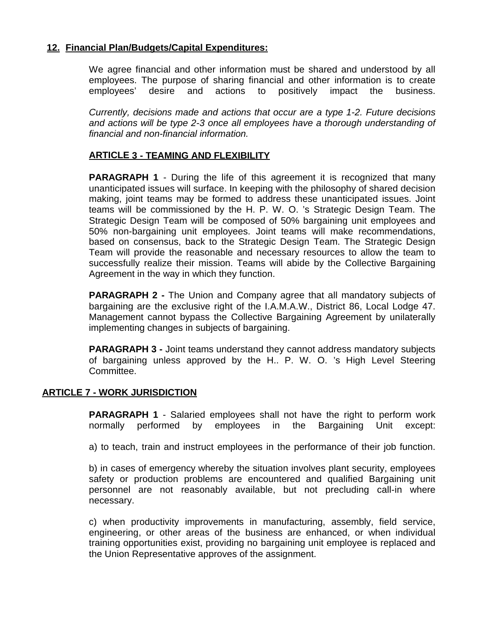#### **12. Financial Plan/Budgets/Capital Expenditures:**

We agree financial and other information must be shared and understood by all employees. The purpose of sharing financial and other information is to create employees' desire and actions to positively impact the business.

*Currently, decisions made and actions that occur are a type 1-2. Future decisions and actions will be type 2-3 once all employees have a thorough understanding of financial and non-financial information.*

#### **ARTICLE 3 - TEAMING AND FLEXIBILITY**

**PARAGRAPH 1** - During the life of this agreement it is recognized that many unanticipated issues will surface. In keeping with the philosophy of shared decision making, joint teams may be formed to address these unanticipated issues. Joint teams will be commissioned by the H. P. W. O. 's Strategic Design Team. The Strategic Design Team will be composed of 50% bargaining unit employees and 50% non-bargaining unit employees. Joint teams will make recommendations, based on consensus, back to the Strategic Design Team. The Strategic Design Team will provide the reasonable and necessary resources to allow the team to successfully realize their mission. Teams will abide by the Collective Bargaining Agreement in the way in which they function.

**PARAGRAPH 2 -** The Union and Company agree that all mandatory subjects of bargaining are the exclusive right of the I.A.M.A.W., District 86, Local Lodge 47. Management cannot bypass the Collective Bargaining Agreement by unilaterally implementing changes in subjects of bargaining.

**PARAGRAPH 3 -** Joint teams understand they cannot address mandatory subjects of bargaining unless approved by the H.. P. W. O. 's High Level Steering Committee.

#### **ARTICLE 7 - WORK JURISDICTION**

**PARAGRAPH 1** - Salaried employees shall not have the right to perform work normally performed by employees in the Bargaining Unit except:

a) to teach, train and instruct employees in the performance of their job function.

b) in cases of emergency whereby the situation involves plant security, employees safety or production problems are encountered and qualified Bargaining unit personnel are not reasonably available, but not precluding call-in where necessary.

c) when productivity improvements in manufacturing, assembly, field service, engineering, or other areas of the business are enhanced, or when individual training opportunities exist, providing no bargaining unit employee is replaced and the Union Representative approves of the assignment.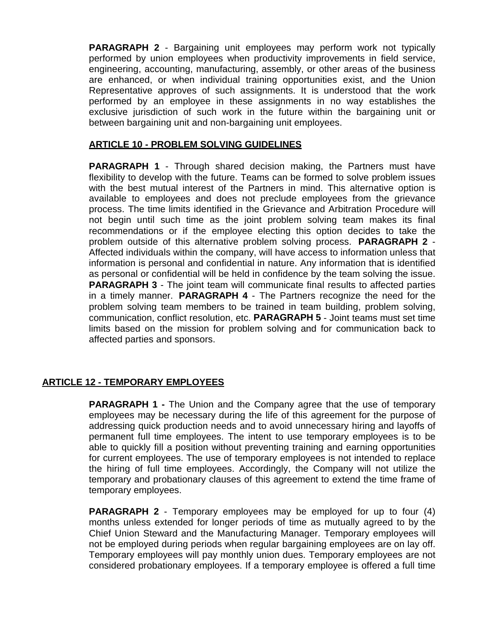**PARAGRAPH 2** - Bargaining unit employees may perform work not typically performed by union employees when productivity improvements in field service, engineering, accounting, manufacturing, assembly, or other areas of the business are enhanced, or when individual training opportunities exist, and the Union Representative approves of such assignments. It is understood that the work performed by an employee in these assignments in no way establishes the exclusive jurisdiction of such work in the future within the bargaining unit or between bargaining unit and non-bargaining unit employees.

#### **ARTICLE 10 - PROBLEM SOLVING GUIDELINES**

**PARAGRAPH 1** - Through shared decision making, the Partners must have flexibility to develop with the future. Teams can be formed to solve problem issues with the best mutual interest of the Partners in mind. This alternative option is available to employees and does not preclude employees from the grievance process. The time limits identified in the Grievance and Arbitration Procedure will not begin until such time as the joint problem solving team makes its final recommendations or if the employee electing this option decides to take the problem outside of this alternative problem solving process. **PARAGRAPH 2** - Affected individuals within the company, will have access to information unless that information is personal and confidential in nature. Any information that is identified as personal or confidential will be held in confidence by the team solving the issue. **PARAGRAPH 3** - The joint team will communicate final results to affected parties in a timely manner. **PARAGRAPH 4** - The Partners recognize the need for the problem solving team members to be trained in team building, problem solving, communication, conflict resolution, etc. **PARAGRAPH 5** - Joint teams must set time limits based on the mission for problem solving and for communication back to affected parties and sponsors.

#### **ARTICLE 12 - TEMPORARY EMPLOYEES**

**PARAGRAPH 1 -** The Union and the Company agree that the use of temporary employees may be necessary during the life of this agreement for the purpose of addressing quick production needs and to avoid unnecessary hiring and layoffs of permanent full time employees. The intent to use temporary employees is to be able to quickly fill a position without preventing training and earning opportunities for current employees. The use of temporary employees is not intended to replace the hiring of full time employees. Accordingly, the Company will not utilize the temporary and probationary clauses of this agreement to extend the time frame of temporary employees.

**PARAGRAPH 2** - Temporary employees may be employed for up to four (4) months unless extended for longer periods of time as mutually agreed to by the Chief Union Steward and the Manufacturing Manager. Temporary employees will not be employed during periods when regular bargaining employees are on lay off. Temporary employees will pay monthly union dues. Temporary employees are not considered probationary employees. If a temporary employee is offered a full time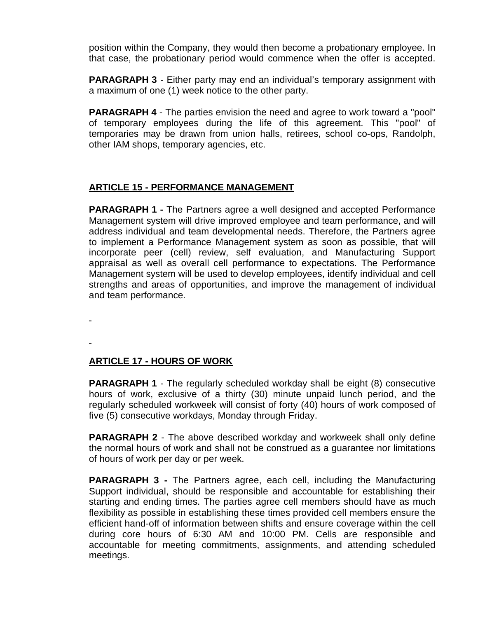position within the Company, they would then become a probationary employee. In that case, the probationary period would commence when the offer is accepted.

**PARAGRAPH 3** - Either party may end an individual's temporary assignment with a maximum of one (1) week notice to the other party.

**PARAGRAPH 4** - The parties envision the need and agree to work toward a "pool" of temporary employees during the life of this agreement. This "pool" of temporaries may be drawn from union halls, retirees, school co-ops, Randolph, other IAM shops, temporary agencies, etc.

#### **ARTICLE 15 - PERFORMANCE MANAGEMENT**

**PARAGRAPH 1 -** The Partners agree a well designed and accepted Performance Management system will drive improved employee and team performance, and will address individual and team developmental needs. Therefore, the Partners agree to implement a Performance Management system as soon as possible, that will incorporate peer (cell) review, self evaluation, and Manufacturing Support appraisal as well as overall cell performance to expectations. The Performance Management system will be used to develop employees, identify individual and cell strengths and areas of opportunities, and improve the management of individual and team performance.

#### **ARTICLE 17 - HOURS OF WORK**

**PARAGRAPH 1** - The regularly scheduled workday shall be eight (8) consecutive hours of work, exclusive of a thirty (30) minute unpaid lunch period, and the regularly scheduled workweek will consist of forty (40) hours of work composed of five (5) consecutive workdays, Monday through Friday.

**PARAGRAPH 2** - The above described workday and workweek shall only define the normal hours of work and shall not be construed as a guarantee nor limitations of hours of work per day or per week.

**PARAGRAPH 3 -** The Partners agree, each cell, including the Manufacturing Support individual, should be responsible and accountable for establishing their starting and ending times. The parties agree cell members should have as much flexibility as possible in establishing these times provided cell members ensure the efficient hand-off of information between shifts and ensure coverage within the cell during core hours of 6:30 AM and 10:00 PM. Cells are responsible and accountable for meeting commitments, assignments, and attending scheduled meetings.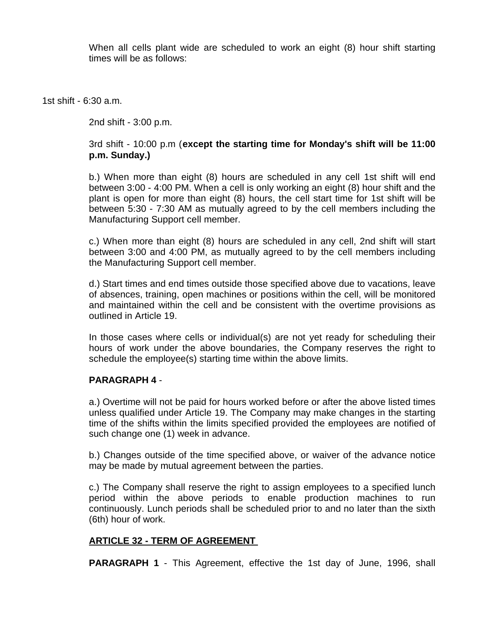When all cells plant wide are scheduled to work an eight (8) hour shift starting times will be as follows:

1st shift - 6:30 a.m.

2nd shift - 3:00 p.m.

#### 3rd shift - 10:00 p.m (**except the starting time for Monday's shift will be 11:00 p.m. Sunday.)**

b.) When more than eight (8) hours are scheduled in any cell 1st shift will end between 3:00 - 4:00 PM. When a cell is only working an eight (8) hour shift and the plant is open for more than eight (8) hours, the cell start time for 1st shift will be between 5:30 - 7:30 AM as mutually agreed to by the cell members including the Manufacturing Support cell member.

c.) When more than eight (8) hours are scheduled in any cell, 2nd shift will start between 3:00 and 4:00 PM, as mutually agreed to by the cell members including the Manufacturing Support cell member.

d.) Start times and end times outside those specified above due to vacations, leave of absences, training, open machines or positions within the cell, will be monitored and maintained within the cell and be consistent with the overtime provisions as outlined in Article 19.

In those cases where cells or individual(s) are not yet ready for scheduling their hours of work under the above boundaries, the Company reserves the right to schedule the employee(s) starting time within the above limits.

#### **PARAGRAPH 4** -

a.) Overtime will not be paid for hours worked before or after the above listed times unless qualified under Article 19. The Company may make changes in the starting time of the shifts within the limits specified provided the employees are notified of such change one (1) week in advance.

b.) Changes outside of the time specified above, or waiver of the advance notice may be made by mutual agreement between the parties.

c.) The Company shall reserve the right to assign employees to a specified lunch period within the above periods to enable production machines to run continuously. Lunch periods shall be scheduled prior to and no later than the sixth (6th) hour of work.

#### **ARTICLE 32 - TERM OF AGREEMENT**

**PARAGRAPH 1** - This Agreement, effective the 1st day of June, 1996, shall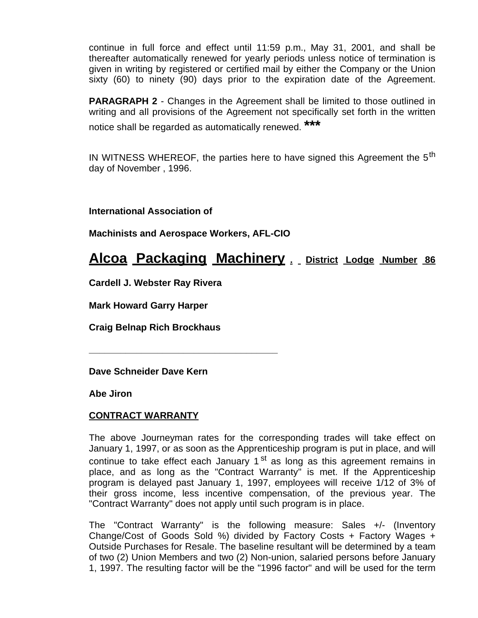continue in full force and effect until 11:59 p.m., May 31, 2001, and shall be thereafter automatically renewed for yearly periods unless notice of termination is given in writing by registered or certified mail by either the Company or the Union sixty (60) to ninety (90) days prior to the expiration date of the Agreement.

**PARAGRAPH 2** - Changes in the Agreement shall be limited to those outlined in writing and all provisions of the Agreement not specifically set forth in the written notice shall be regarded as automatically renewed.**\*\*\***

IN WITNESS WHEREOF, the parties here to have signed this Agreement the  $5<sup>th</sup>$ day of November , 1996.

**International Association of**

**Machinists and Aerospace Workers, AFL-CIO**

**\_\_\_\_\_\_\_\_\_\_\_\_\_\_\_\_\_\_\_\_\_\_\_\_\_\_\_\_\_\_\_\_\_\_\_\_**

#### **Alcoa Packaging Machinery . District Lodge Number 86**

**Cardell J. Webster Ray Rivera**

**Mark Howard Garry Harper**

**Craig Belnap Rich Brockhaus**

**Dave Schneider Dave Kern**

**Abe Jiron**

#### **CONTRACT WARRANTY**

The above Journeyman rates for the corresponding trades will take effect on January 1, 1997, or as soon as the Apprenticeship program is put in place, and will continue to take effect each January  $1<sup>st</sup>$  as long as this agreement remains in place, and as long as the "Contract Warranty" is met. If the Apprenticeship program is delayed past January 1, 1997, employees will receive 1/12 of 3% of their gross income, less incentive compensation, of the previous year. The "Contract Warranty" does not apply until such program is in place.

The "Contract Warranty" is the following measure: Sales +/- (Inventory Change/Cost of Goods Sold %) divided by Factory Costs + Factory Wages + Outside Purchases for Resale. The baseline resultant will be determined by a team of two (2) Union Members and two (2) Non-union, salaried persons before January 1, 1997. The resulting factor will be the "1996 factor" and will be used for the term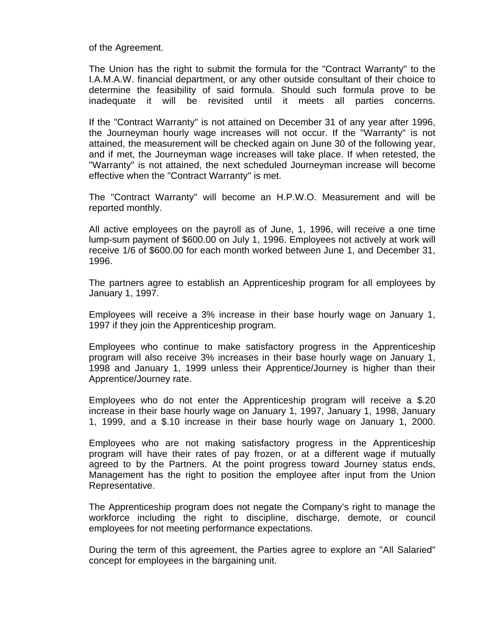of the Agreement.

The Union has the right to submit the formula for the "Contract Warranty" to the I.A.M.A.W. financial department, or any other outside consultant of their choice to determine the feasibility of said formula. Should such formula prove to be inadequate it will be revisited until it meets all parties concerns.

If the "Contract Warranty" is not attained on December 31 of any year after 1996, the Journeyman hourly wage increases will not occur. If the "Warranty" is not attained, the measurement will be checked again on June 30 of the following year, and if met, the Journeyman wage increases will take place. If when retested, the "Warranty" is not attained, the next scheduled Journeyman increase will become effective when the "Contract Warranty" is met.

The "Contract Warranty" will become an H.P.W.O. Measurement and will be reported monthly.

All active employees on the payroll as of June, 1, 1996, will receive a one time lump-sum payment of \$600.00 on July 1, 1996. Employees not actively at work will receive 1/6 of \$600.00 for each month worked between June 1, and December 31, 1996.

The partners agree to establish an Apprenticeship program for all employees by January 1, 1997.

Employees will receive a 3% increase in their base hourly wage on January 1, 1997 if they join the Apprenticeship program.

Employees who continue to make satisfactory progress in the Apprenticeship program will also receive 3% increases in their base hourly wage on January 1, 1998 and January 1, 1999 unless their Apprentice/Journey is higher than their Apprentice/Journey rate.

Employees who do not enter the Apprenticeship program will receive a \$.20 increase in their base hourly wage on January 1, 1997, January 1, 1998, January 1, 1999, and a \$.10 increase in their base hourly wage on January 1, 2000.

Employees who are not making satisfactory progress in the Apprenticeship program will have their rates of pay frozen, or at a different wage if mutually agreed to by the Partners. At the point progress toward Journey status ends, Management has the right to position the employee after input from the Union Representative.

The Apprenticeship program does not negate the Company's right to manage the workforce including the right to discipline, discharge, demote, or council employees for not meeting performance expectations.

During the term of this agreement, the Parties agree to explore an "All Salaried" concept for employees in the bargaining unit.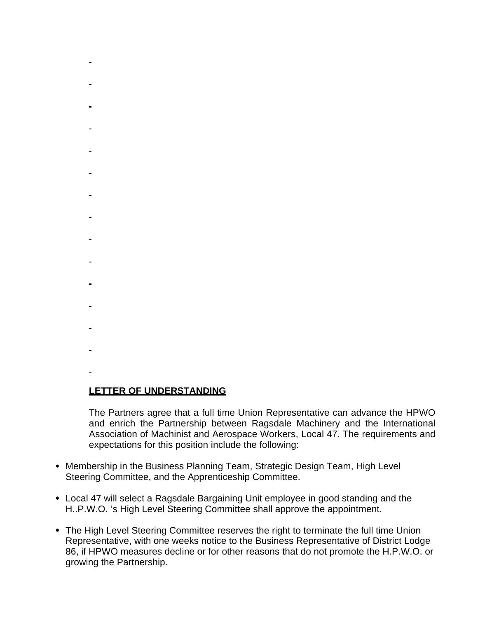- $\blacksquare$
- 
- 
- 
- 
- 
- 
- 
- 
- 
- 
- 
- 
- 
- 
- 
- 
- 
- 

#### **LETTER OF UNDERSTANDING**

The Partners agree that a full time Union Representative can advance the HPWO and enrich the Partnership between Ragsdale Machinery and the International Association of Machinist and Aerospace Workers, Local 47. The requirements and expectations for this position include the following:

- Membership in the Business Planning Team, Strategic Design Team, High Level Steering Committee, and the Apprenticeship Committee.
- Local 47 will select a Ragsdale Bargaining Unit employee in good standing and the H..P.W.O. 's High Level Steering Committee shall approve the appointment.
- The High Level Steering Committee reserves the right to terminate the full time Union Representative, with one weeks notice to the Business Representative of District Lodge 86, if HPWO measures decline or for other reasons that do not promote the H.P.W.O. or growing the Partnership.